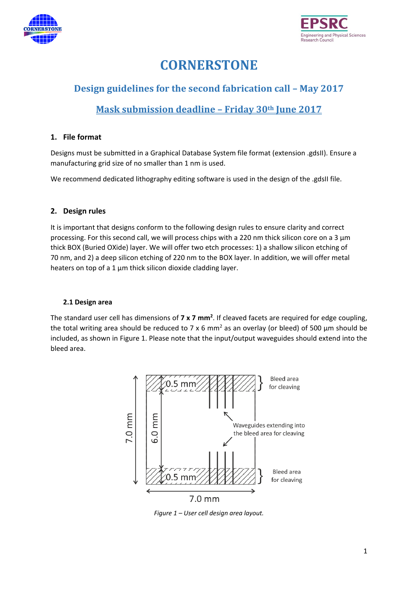



# **CORNERSTONE**

# **Design guidelines for the second fabrication call – May 2017**

# **Mask submission deadline – Friday 30th June 2017**

# **1. File format**

Designs must be submitted in a Graphical Database System file format (extension .gdsII). Ensure a manufacturing grid size of no smaller than 1 nm is used.

We recommend dedicated lithography editing software is used in the design of the .gdsII file.

# **2. Design rules**

It is important that designs conform to the following design rules to ensure clarity and correct processing. For this second call, we will process chips with a 220 nm thick silicon core on a 3 μm thick BOX (Buried OXide) layer. We will offer two etch processes: 1) a shallow silicon etching of 70 nm, and 2) a deep silicon etching of 220 nm to the BOX layer. In addition, we will offer metal heaters on top of a 1 μm thick silicon dioxide cladding layer.

# **2.1 Design area**

The standard user cell has dimensions of **7 x 7 mm<sup>2</sup>** . If cleaved facets are required for edge coupling, the total writing area should be reduced to 7 x 6 mm<sup>2</sup> as an overlay (or bleed) of 500  $\mu$ m should be included, as shown in [Figure 1.](#page-0-0) Please note that the input/output waveguides should extend into the bleed area.



<span id="page-0-0"></span>*Figure 1 – User cell design area layout.*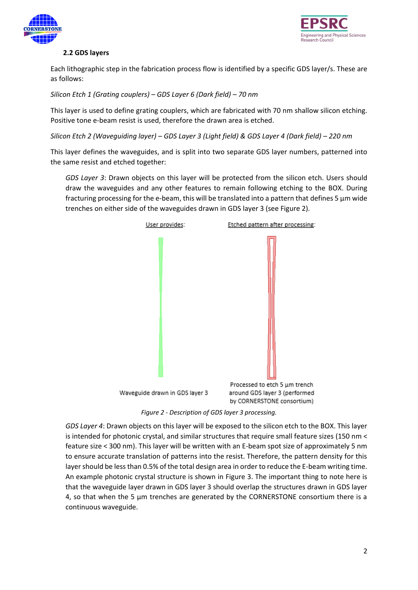



# **2.2 GDS layers**

Each lithographic step in the fabrication process flow is identified by a specific GDS layer/s. These are as follows:

*Silicon Etch 1 (Grating couplers) – GDS Layer 6 (Dark field) – 70 nm*

This layer is used to define grating couplers, which are fabricated with 70 nm shallow silicon etching. Positive tone e-beam resist is used, therefore the drawn area is etched.

*Silicon Etch 2 (Waveguiding layer) – GDS Layer 3 (Light field) & GDS Layer 4 (Dark field) – 220 nm*

This layer defines the waveguides, and is split into two separate GDS layer numbers, patterned into the same resist and etched together:

*GDS Layer 3*: Drawn objects on this layer will be protected from the silicon etch. Users should draw the waveguides and any other features to remain following etching to the BOX. During fracturing processing for the e-beam, this will be translated into a pattern that defines 5  $\mu$ m wide trenches on either side of the waveguides drawn in GDS layer 3 (see [Figure 2\)](#page-1-0).



*Figure 2 - Description of GDS layer 3 processing.*

<span id="page-1-0"></span>*GDS Layer 4*: Drawn objects on this layer will be exposed to the silicon etch to the BOX. This layer is intended for photonic crystal, and similar structures that require small feature sizes (150 nm < feature size < 300 nm). This layer will be written with an E-beam spot size of approximately 5 nm to ensure accurate translation of patterns into the resist. Therefore, the pattern density for this layer should be less than 0.5% of the total design area in order to reduce the E-beam writing time. An example photonic crystal structure is shown in [Figure 3.](#page-2-0) The important thing to note here is that the waveguide layer drawn in GDS layer 3 should overlap the structures drawn in GDS layer 4, so that when the 5 µm trenches are generated by the CORNERSTONE consortium there is a continuous waveguide.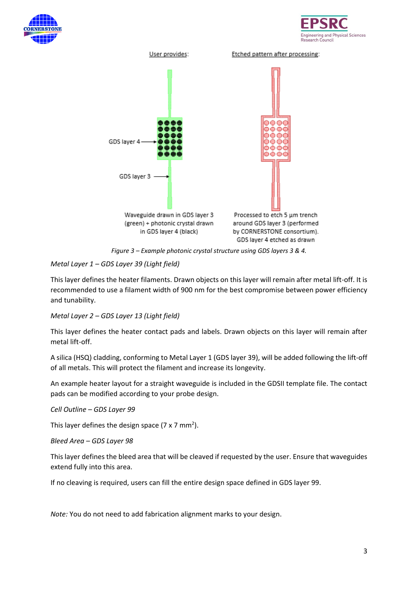





*Figure 3 – Example photonic crystal structure using GDS layers 3 & 4.*

# <span id="page-2-0"></span>*Metal Layer 1 – GDS Layer 39 (Light field)*

This layer defines the heater filaments. Drawn objects on this layer will remain after metal lift-off. It is recommended to use a filament width of 900 nm for the best compromise between power efficiency and tunability.

# *Metal Layer 2 – GDS Layer 13 (Light field)*

This layer defines the heater contact pads and labels. Drawn objects on this layer will remain after metal lift-off.

A silica (HSQ) cladding, conforming to Metal Layer 1 (GDS layer 39), will be added following the lift-off of all metals. This will protect the filament and increase its longevity.

An example heater layout for a straight waveguide is included in the GDSII template file. The contact pads can be modified according to your probe design.

*Cell Outline – GDS Layer 99*

This layer defines the design space (7 x 7 mm<sup>2</sup>).

*Bleed Area – GDS Layer 98*

This layer defines the bleed area that will be cleaved if requested by the user. Ensure that waveguides extend fully into this area.

If no cleaving is required, users can fill the entire design space defined in GDS layer 99.

*Note:* You do not need to add fabrication alignment marks to your design.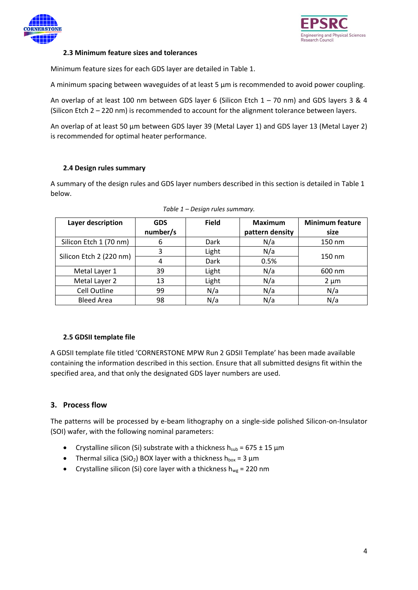



#### **2.3 Minimum feature sizes and tolerances**

Minimum feature sizes for each GDS layer are detailed i[n Table 1.](#page-3-0)

A minimum spacing between waveguides of at least 5 μm is recommended to avoid power coupling.

An overlap of at least 100 nm between GDS layer 6 (Silicon Etch  $1 - 70$  nm) and GDS layers 3 & 4 (Silicon Etch 2 – 220 nm) is recommended to account for the alignment tolerance between layers.

An overlap of at least 50 µm between GDS layer 39 (Metal Layer 1) and GDS layer 13 (Metal Layer 2) is recommended for optimal heater performance.

#### **2.4 Design rules summary**

A summary of the design rules and GDS layer numbers described in this section is detailed in [Table 1](#page-3-0) below.

<span id="page-3-0"></span>

| Layer description       | <b>GDS</b><br>number/s | <b>Field</b> | <b>Maximum</b><br>pattern density | <b>Minimum feature</b><br>size |  |
|-------------------------|------------------------|--------------|-----------------------------------|--------------------------------|--|
| Silicon Etch 1 (70 nm)  | 6                      | Dark         | N/a                               | 150 nm                         |  |
| Silicon Etch 2 (220 nm) | 3                      | Light        | N/a                               | 150 nm                         |  |
|                         | 4                      | Dark         | 0.5%                              |                                |  |
| Metal Layer 1           | 39                     | Light        | N/a                               | 600 nm                         |  |
| Metal Layer 2           | 13                     | Light        | N/a                               | $2 \mu m$                      |  |
| Cell Outline            | 99                     | N/a          | N/a                               | N/a                            |  |
| <b>Bleed Area</b>       | 98                     | N/a          | N/a                               | N/a                            |  |

# **2.5 GDSII template file**

A GDSII template file titled 'CORNERSTONE MPW Run 2 GDSII Template' has been made available containing the information described in this section. Ensure that all submitted designs fit within the specified area, and that only the designated GDS layer numbers are used.

# **3. Process flow**

The patterns will be processed by e-beam lithography on a single-side polished Silicon-on-Insulator (SOI) wafer, with the following nominal parameters:

- Crystalline silicon (Si) substrate with a thickness  $h_{sub} = 675 \pm 15 \mu m$
- Thermal silica (SiO<sub>2</sub>) BOX layer with a thickness h<sub>box</sub> = 3  $\mu$ m
- Crystalline silicon (Si) core layer with a thickness  $h_{wg} = 220$  nm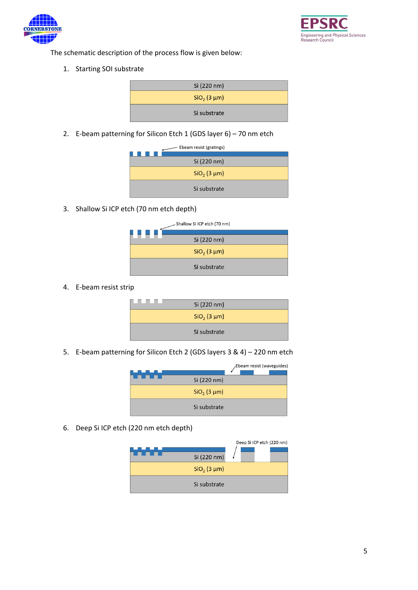



The schematic description of the process flow is given below:

1. Starting SOI substrate

| Si (220 nm)   |  |
|---------------|--|
| $SiO2$ (3 µm) |  |
| Si substrate  |  |

2. E-beam patterning for Silicon Etch 1 (GDS layer  $6$ ) – 70 nm etch

| Ebeam resist (gratings) |               |  |
|-------------------------|---------------|--|
|                         |               |  |
|                         | Si (220 nm)   |  |
|                         | $SiO2$ (3 µm) |  |
|                         | Si substrate  |  |

3. Shallow Si ICP etch (70 nm etch depth)



4. E-beam resist strip

| . | Si (220 nm)   |  |
|---|---------------|--|
|   | $SiO2$ (3 µm) |  |
|   | Si substrate  |  |

5. E-beam patterning for Silicon Etch 2 (GDS layers 3 & 4) – 220 nm etch

|               | Ebeam resist (waveguides) |
|---------------|---------------------------|
| Si (220 nm)   |                           |
| $SiO2$ (3 µm) |                           |
| Si substrate  |                           |

6. Deep Si ICP etch (220 nm etch depth)

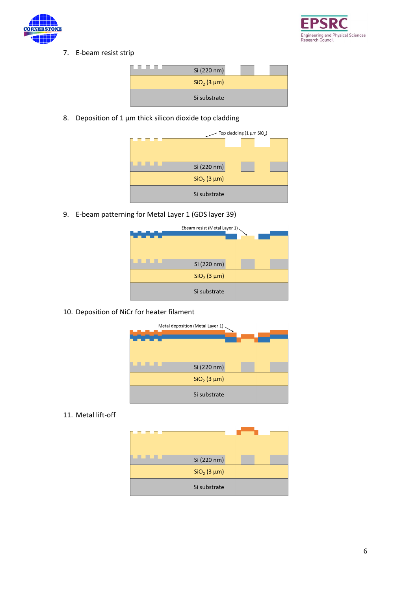



7. E-beam resist strip



8. Deposition of 1 μm thick silicon dioxide top cladding



9. E-beam patterning for Metal Layer 1 (GDS layer 39)



10. Deposition of NiCr for heater filament



11. Metal lift-off

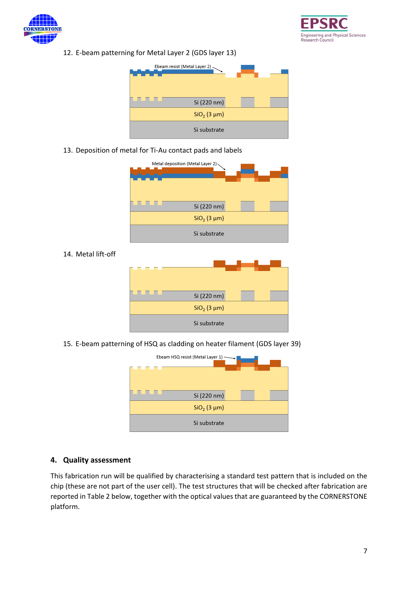



12. E-beam patterning for Metal Layer 2 (GDS layer 13)



13. Deposition of metal for Ti-Au contact pads and labels

| Metal deposition (Metal Layer 2) |  |
|----------------------------------|--|
| Si (220 nm)                      |  |
| $SiO2$ (3 µm)                    |  |
| Si substrate                     |  |

14. Metal lift-off

| Si (220 nm)   |
|---------------|
| $SiO2$ (3 µm) |
| Si substrate  |

15. E-beam patterning of HSQ as cladding on heater filament (GDS layer 39)



# **4. Quality assessment**

This fabrication run will be qualified by characterising a standard test pattern that is included on the chip (these are not part of the user cell). The test structures that will be checked after fabrication are reported i[n Table 2](#page-7-0) below, together with the optical values that are guaranteed by the CORNERSTONE platform.